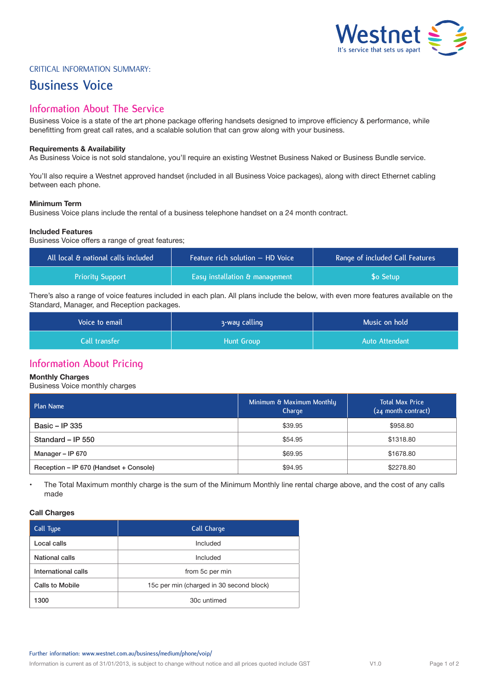

## Critical Information Summary:

# **Business Voice**

## **Information About The Service**

Business Voice is a state of the art phone package offering handsets designed to improve efficiency & performance, while benefitting from great call rates, and a scalable solution that can grow along with your business.

## **Requirements & Availability**

As Business Voice is not sold standalone, you'll require an existing Westnet Business Naked or Business Bundle service.

You'll also require a Westnet approved handset (included in all Business Voice packages), along with direct Ethernet cabling between each phone.

## **Minimum Term**

Business Voice plans include the rental of a business telephone handset on a 24 month contract.

## **Included Features**

Business Voice offers a range of great features;

| All local & national calls included | Feature rich solution - HD Voice | Range of included Call Features |  |
|-------------------------------------|----------------------------------|---------------------------------|--|
| <b>Priority Support</b>             | Easy installation & management   | <b>So Setup</b>                 |  |

There's also a range of voice features included in each plan. All plans include the below, with even more features available on the Standard, Manager, and Reception packages.

| Voice to email  | 3-way calling | Music on hold  |  |
|-----------------|---------------|----------------|--|
| Call transfer l | Hunt Group    | Auto Attendant |  |

## **Information About Pricing**

## **Monthly Charges**

Business Voice monthly charges

| Plan Name                              | Minimum & Maximum Monthly<br>Charge | <b>Total Max Price</b><br>(24 month contract) |  |
|----------------------------------------|-------------------------------------|-----------------------------------------------|--|
| Basic – IP 335                         | \$39.95                             | \$958.80                                      |  |
| Standard - IP 550                      | \$54.95                             | \$1318.80                                     |  |
| Manager - IP 670                       | \$69.95                             | \$1678.80                                     |  |
| Reception – IP 670 (Handset + Console) | \$94.95                             | \$2278.80                                     |  |

• The Total Maximum monthly charge is the sum of the Minimum Monthly line rental charge above, and the cost of any calls made

## **Call Charges**

| Call Type           | Call Charge                              |  |  |
|---------------------|------------------------------------------|--|--|
| Local calls         | Included                                 |  |  |
| National calls      | Included                                 |  |  |
| International calls | from 5c per min                          |  |  |
| Calls to Mobile     | 15c per min (charged in 30 second block) |  |  |
| 1300                | 30c untimed                              |  |  |